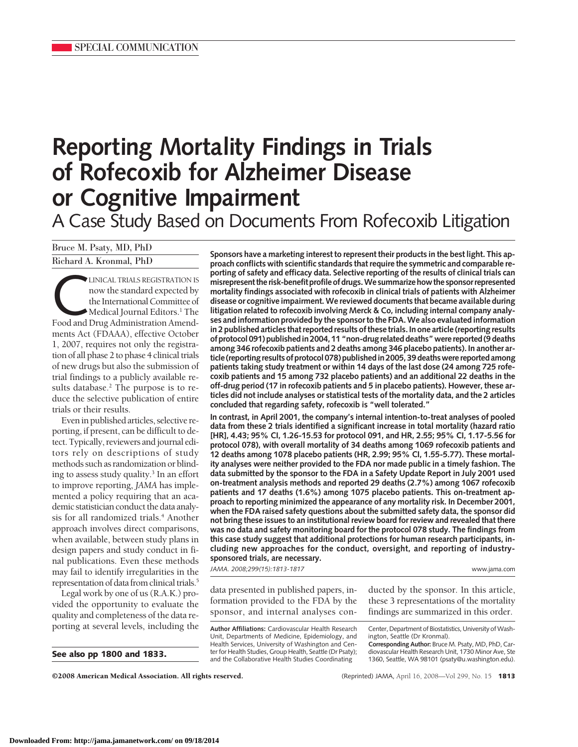# **Reporting Mortality Findings in Trials of Rofecoxib for Alzheimer Disease or Cognitive Impairment** A Case Study Based on Documents From Rofecoxib Litigation

Bruce M. Psaty, MD, PhD

Richard A. Kronmal, PhD

LINICAL TRIALS REGISTRATION IS<br>
now the standard expected by<br>
the International Committee of<br>
Medical Journal Editors.<sup>1</sup> The<br>
Food and Drug Administration Amendnow the standard expected by the International Committee of  $\blacktriangleright$  Medical Journal Editors.<sup>1</sup> The ments Act (FDAAA), effective October 1, 2007, requires not only the registration of all phase 2 to phase 4 clinical trials of new drugs but also the submission of trial findings to a publicly available results database.<sup>2</sup> The purpose is to reduce the selective publication of entire trials or their results.

Evenin published articles, selective reporting, if present, can be difficult to detect. Typically, reviewers and journal editors rely on descriptions of study methods such as randomization or blinding to assess study quality.<sup>3</sup> In an effort to improve reporting, *JAMA* has implemented a policy requiring that an academic statistician conduct the data analysis for all randomized trials.<sup>4</sup> Another approach involves direct comparisons, when available, between study plans in design papers and study conduct in final publications. Even these methods may fail to identify irregularities in the representation of data from clinical trials.<sup>5</sup>

Legal work by one of us (R.A.K.) provided the opportunity to evaluate the quality and completeness of the data reporting at several levels, including the

**See also pp 1800 and 1833.**

**Sponsors have a marketing interest to represent their products in the best light. This approach conflicts with scientific standards that require the symmetric and comparable reporting of safety and efficacy data. Selective reporting of the results of clinical trials can misrepresent the risk-benefit profile of drugs.We summarize how the sponsor represented mortality findings associated with rofecoxib in clinical trials of patients with Alzheimer disease or cognitive impairment.We reviewed documents that became available during litigation related to rofecoxib involving Merck & Co, including internal company analyses and information provided by the sponsor to the FDA.We also evaluated information in 2 published articles that reported results of these trials. In one article (reporting results of protocol 091) publishedin 2004, 11 "non-drug related deaths"were reported (9 deaths among 346 rofecoxib patients and 2 deaths among 346 placebo patients). In another article (reporting results of protocol 078) publishedin 2005, 39 deathswere reported among patients taking study treatment or within 14 days of the last dose (24 among 725 rofecoxib patients and 15 among 732 placebo patients) and an additional 22 deaths in the off-drug period (17 in rofecoxib patients and 5 in placebo patients). However, these articles did not include analyses or statistical tests of the mortality data, and the 2 articles concluded that regarding safety, rofecoxib is "well tolerated."**

**In contrast, in April 2001, the company's internal intention-to-treat analyses of pooled data from these 2 trials identified a significant increase in total mortality (hazard ratio [HR], 4.43; 95% CI, 1.26-15.53 for protocol 091, and HR, 2.55; 95% CI, 1.17-5.56 for protocol 078), with overall mortality of 34 deaths among 1069 rofecoxib patients and 12 deaths among 1078 placebo patients (HR, 2.99; 95% CI, 1.55-5.77). These mortality analyses were neither provided to the FDA nor made public in a timely fashion. The data submitted by the sponsor to the FDA in a Safety Update Report in July 2001 used on-treatment analysis methods and reported 29 deaths (2.7%) among 1067 rofecoxib patients and 17 deaths (1.6%) among 1075 placebo patients. This on-treatment approach to reporting minimized the appearance of any mortality risk. In December 2001, when the FDA raised safety questions about the submitted safety data, the sponsor did not bring these issues to an institutional review board for review and revealed that there was no data and safety monitoring board for the protocol 078 study. The findings from this case study suggest that additional protections for human research participants, including new approaches for the conduct, oversight, and reporting of industrysponsored trials, are necessary.**

*JAMA. 2008;299(15):1813-1817* www.jama.com

data presented in published papers, information provided to the FDA by the sponsor, and internal analyses con-

**Author Affiliations:** Cardiovascular Health Research Unit, Departments of Medicine, Epidemiology, and Health Services, University of Washington and Center for Health Studies, Group Health, Seattle (Dr Psaty); and the Collaborative Health Studies Coordinating

ducted by the sponsor. In this article, these 3 representations of the mortality findings are summarized in this order.

Center, Department of Biostatistics, University of Washington, Seattle (Dr Kronmal).

**Corresponding Author:** Bruce M. Psaty, MD, PhD, Cardiovascular Health Research Unit, 1730 Minor Ave, Ste 1360, Seattle, WA 98101 (psaty@u.washington.edu).

©2008 American Medical Association. All rights reserved. (Reprinted) JAMA, April 16, 2008—Vol 299, No. 15 **1813**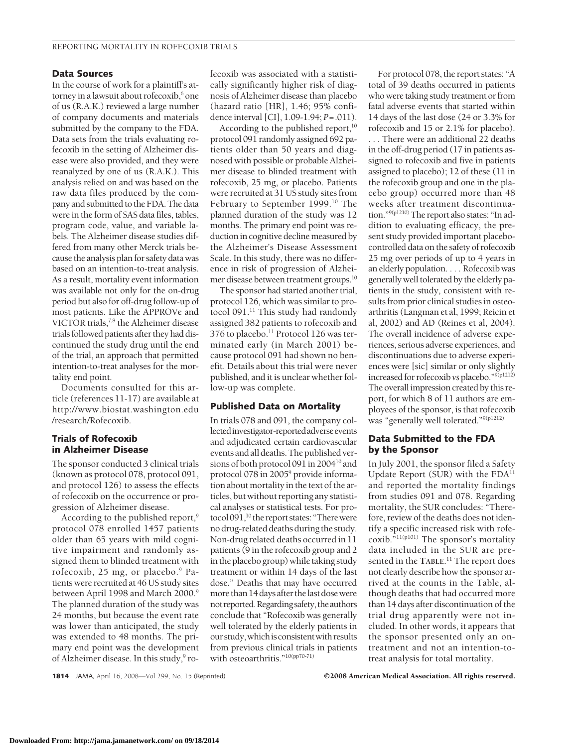#### **Data Sources**

In the course of work for a plaintiff's attorney in a lawsuit about rofecoxib,<sup>6</sup> one of us (R.A.K.) reviewed a large number of company documents and materials submitted by the company to the FDA. Data sets from the trials evaluating rofecoxib in the setting of Alzheimer disease were also provided, and they were reanalyzed by one of us (R.A.K.). This analysis relied on and was based on the raw data files produced by the company and submitted to the FDA. The data were in the form of SAS data files, tables, program code, value, and variable labels. The Alzheimer disease studies differed from many other Merck trials because the analysis plan for safety data was based on an intention-to-treat analysis. As a result, mortality event information was available not only for the on-drug period but also for off-drug follow-up of most patients. Like the APPROVe and VICTOR trials,<sup>7,8</sup> the Alzheimer disease trials followed patients after they had discontinued the study drug until the end of the trial, an approach that permitted intention-to-treat analyses for the mortality end point.

Documents consulted for this article (references 11-17) are available at http://www.biostat.washington.edu /research/Rofecoxib.

### **Trials of Rofecoxib in Alzheimer Disease**

The sponsor conducted 3 clinical trials (known as protocol 078, protocol 091, and protocol 126) to assess the effects of rofecoxib on the occurrence or progression of Alzheimer disease.

According to the published report,<sup>9</sup> protocol 078 enrolled 1457 patients older than 65 years with mild cognitive impairment and randomly assigned them to blinded treatment with rofecoxib, 25 mg, or placebo.<sup>9</sup> Patients were recruited at 46 US study sites between April 1998 and March 2000.<sup>9</sup> The planned duration of the study was 24 months, but because the event rate was lower than anticipated, the study was extended to 48 months. The primary end point was the development of Alzheimer disease. In this study,<sup>9</sup> rofecoxib was associated with a statistically significantly higher risk of diagnosis of Alzheimer disease than placebo (hazard ratio [HR], 1.46; 95% confidence interval [CI], 1.09-1.94; *P*=.011).

According to the published report,<sup>10</sup> protocol 091 randomly assigned 692 patients older than 50 years and diagnosed with possible or probable Alzheimer disease to blinded treatment with rofecoxib, 25 mg, or placebo. Patients were recruited at 31 US study sites from February to September 1999.<sup>10</sup> The planned duration of the study was 12 months. The primary end point was reduction in cognitive decline measured by the Alzheimer's Disease Assessment Scale. In this study, there was no difference in risk of progression of Alzheimer disease between treatment groups.10

The sponsor had started another trial, protocol 126, which was similar to protocol 091.<sup>11</sup> This study had randomly assigned 382 patients to rofecoxib and 376 to placebo.<sup>11</sup> Protocol 126 was terminated early (in March 2001) because protocol 091 had shown no benefit. Details about this trial were never published, and it is unclear whether follow-up was complete.

#### **Published Data on Mortality**

In trials 078 and 091, the company collected investigator-reported adverse events and adjudicated certain cardiovascular events and all deaths.The published versions of both protocol 091 in 200410 and protocol 078 in 2005<sup>9</sup> provide information about mortality in the text of the articles, but without reporting any statistical analyses or statistical tests. For protocol 091,<sup>10</sup> the report states: "There were no drug-related deaths during the study. Non-drug related deaths occurred in 11 patients (9 in the rofecoxib group and 2 in the placebo group) while taking study treatment or within 14 days of the last dose." Deaths that may have occurred more than 14 daysafter thelast dosewere not reported. Regarding safety, the authors conclude that "Rofecoxib was generally well tolerated by the elderly patients in ourstudy,whichisconsistentwith results from previous clinical trials in patients with osteoarthritis."<sup>10(pp70-71)</sup>

For protocol 078, the report states: "A total of 39 deaths occurred in patients who were taking study treatment or from fatal adverse events that started within 14 days of the last dose (24 or 3.3% for rofecoxib and 15 or 2.1% for placebo).

. . . There were an additional 22 deaths in the off-drug period (17 in patients assigned to rofecoxib and five in patients assigned to placebo); 12 of these (11 in the rofecoxib group and one in the placebo group) occurred more than 48 weeks after treatment discontinuation."<sup>9(p1210)</sup> The report also states: "In addition to evaluating efficacy, the present study provided important placebocontrolled data on the safety of rofecoxib 25 mg over periods of up to 4 years in an elderly population.... Rofecoxib was generally well tolerated by the elderly patients in the study, consistent with results from prior clinical studies in osteoarthritis (Langman et al, 1999; Reicin et al, 2002) and AD (Reines et al, 2004). The overall incidence of adverse experiences, serious adverse experiences, and discontinuations due to adverse experiences were [sic] similar or only slightly increasedfor rofecoxib *vs* placebo."9(p1212) The overall impression created by this report, for which 8 of 11 authors are employees of the sponsor, is that rofecoxib was "generally well tolerated."9(p1212)

### **Data Submitted to the FDA by the Sponsor**

In July 2001, the sponsor filed a Safety Update Report (SUR) with the FDA<sup>11</sup> and reported the mortality findings from studies 091 and 078. Regarding mortality, the SUR concludes: "Therefore, review of the deaths does not identify a specific increased risk with rofecoxib."11(p101) The sponsor's mortality data included in the SUR are presented in the **TABLE**. <sup>11</sup> The report does not clearly describe how the sponsor arrived at the counts in the Table, although deaths that had occurred more than 14 days after discontinuation of the trial drug apparently were not included. In other words, it appears that the sponsor presented only an ontreatment and not an intention-totreat analysis for total mortality.

**1814** JAMA, April 16, 2008—Vol 299, No. 15 (Reprinted) ©2008 American Medical Association. All rights reserved.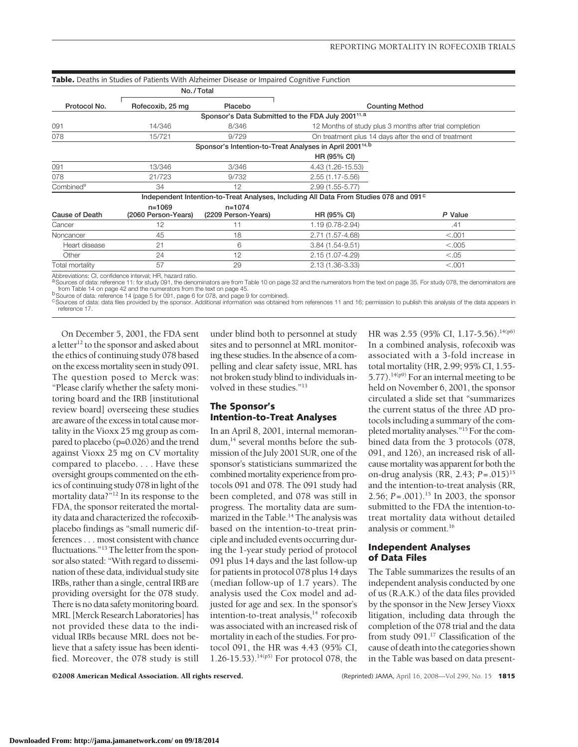|                       | No./Total                         |                                                                      |                                                                                                   |         |
|-----------------------|-----------------------------------|----------------------------------------------------------------------|---------------------------------------------------------------------------------------------------|---------|
| Protocol No.          | Rofecoxib, 25 mg                  | Placebo                                                              | <b>Counting Method</b>                                                                            |         |
|                       |                                   | Sponsor's Data Submitted to the FDA July 2001 <sup>11, a</sup>       |                                                                                                   |         |
| 091                   | 14/346                            | 8/346                                                                | 12 Months of study plus 3 months after trial completion                                           |         |
| 078                   | 15/721                            | 9/729                                                                | On treatment plus 14 days after the end of treatment                                              |         |
|                       |                                   | Sponsor's Intention-to-Treat Analyses in April 2001 <sup>14, b</sup> |                                                                                                   |         |
|                       |                                   |                                                                      | HR (95% CI)                                                                                       |         |
| 091                   | 13/346                            | 3/346                                                                | 4.43 (1.26-15.53)                                                                                 |         |
| 078                   | 21/723                            | 9/732                                                                | 2.55 (1.17-5.56)                                                                                  |         |
| Combined <sup>9</sup> | 34                                | 12                                                                   | $2.99(1.55 - 5.77)$                                                                               |         |
|                       |                                   |                                                                      | Independent Intention-to-Treat Analyses, Including All Data From Studies 078 and 091 <sup>c</sup> |         |
| Cause of Death        | $n = 1069$<br>(2060 Person-Years) | $n = 1074$<br>(2209 Person-Years)                                    | HR (95% CI)                                                                                       | P Value |
| Cancer                | 12                                | 11                                                                   | 1.19 (0.78-2.94)                                                                                  | .41     |
| Noncancer             | 45                                | 18                                                                   | 2.71 (1.57-4.68)                                                                                  | < 0.001 |
| Heart disease         | 21                                | 6                                                                    | $3.84(1.54-9.51)$                                                                                 | < 0.005 |
| Other                 | 24                                | 12                                                                   | 2.15 (1.07-4.29)                                                                                  | < 0.05  |
| Total mortality       | 57                                | 29                                                                   | 2.13 (1.36-3.33)                                                                                  | < .001  |

് from Table 14 on page 42 and the numerators from the text on page 45.<br><sup>b</sup> Source of data: reference 14 (page 5 for 091, page 6 for 078, and page 9 for combined).<br>°Sources of data: data files provided by the sponsor. A

reference 17.

On December 5, 2001, the FDA sent a letter $12$  to the sponsor and asked about the ethics of continuing study 078 based on the excessmortality seenin study 091. The question posed to Merck was: "Please clarify whether the safety monitoring board and the IRB [institutional review board] overseeing these studies are aware of the excessin total causemortality in the Vioxx 25 mg group as compared to placebo (p=0.026) and the trend against Vioxx 25 mg on CV mortality compared to placebo. . . . Have these oversight groups commented on the ethics of continuing study 078 in light of the mortality data?"12 In its response to the FDA, the sponsor reiterated the mortality data and characterized the rofecoxibplacebo findings as "small numeric differences... most consistent with chance fluctuations."<sup>13</sup> The letter from the sponsor also stated: "With regard to dissemination of these data, individual study site IRBs, rather than a single, central IRB are providing oversight for the 078 study. There is no data safety monitoring board. MRL [Merck Research Laboratories] has not provided these data to the individual IRBs because MRL does not believe that a safety issue has been identified. Moreover, the 078 study is still

under blind both to personnel at study sites and to personnel at MRL monitoring these studies. In the absence of a compelling and clear safety issue, MRL has not broken study blind to individuals involved in these studies."<sup>13</sup>

## **The Sponsor's Intention-to-Treat Analyses**

In an April 8, 2001, internal memorandum,<sup>14</sup> several months before the submission of the July 2001 SUR, one of the sponsor's statisticians summarized the combined mortality experience from protocols 091 and 078. The 091 study had been completed, and 078 was still in progress. The mortality data are summarized in the Table.<sup>14</sup> The analysis was based on the intention-to-treat principle and included events occurring during the 1-year study period of protocol 091 plus 14 days and the last follow-up for patients in protocol 078 plus 14 days (median follow-up of 1.7 years). The analysis used the Cox model and adjusted for age and sex. In the sponsor's intention-to-treat analysis. $14$  rofecoxib was associated with an increased risk of mortality in each of the studies. For protocol 091, the HR was 4.43 (95% CI, 1.26-15.53).<sup>14(p5)</sup> For protocol 078, the HR was 2.55 (95% CI, 1.17-5.56).<sup>14(p6)</sup> In a combined analysis, rofecoxib was associated with a 3-fold increase in total mortality (HR, 2.99; 95% CI, 1.55- 5.77).<sup>14(p9)</sup> For an internal meeting to be held on November 6, 2001, the sponsor circulated a slide set that "summarizes the current status of the three AD protocols including a summary of the completed mortality analyses."<sup>15</sup> For the combined data from the 3 protocols (078, 091, and 126), an increased risk of allcause mortality was apparent for both the on-drug analysis (RR, 2.43; *P*=.015)15 and the intention-to-treat analysis (RR, 2.56; *P*=.001).15 In 2003, the sponsor submitted to the FDA the intention-totreat mortality data without detailed analysis or comment.16

#### **Independent Analyses of Data Files**

The Table summarizes the results of an independent analysis conducted by one of us (R.A.K.) of the data files provided by the sponsor in the New Jersey Vioxx litigation, including data through the completion of the 078 trial and the data from study 091.17 Classification of the cause of deathinto the categories shown in the Table was based on data present-

©2008 American Medical Association. All rights reserved. (Reprinted) JAMA, April 16, 2008—Vol 299, No. 15 **1815**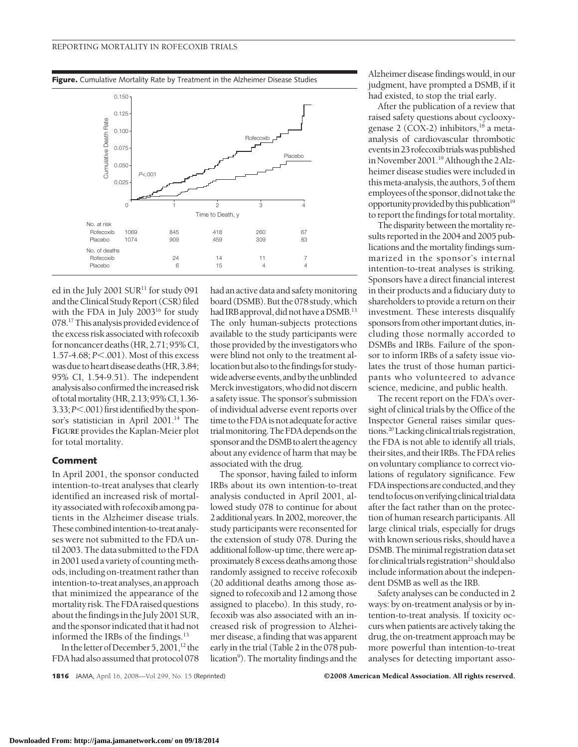**Figure.** Cumulative Mortality Rate by Treatment in the Alzheimer Disease Studies



ed in the July 2001 SUR<sup>11</sup> for study 091 and the Clinical Study Report (CSR) filed with the FDA in July 2003<sup>16</sup> for study 078.<sup>17</sup> This analysis provided evidence of the excess risk associated with rofecoxib for noncancer deaths (HR, 2.71; 95% CL 1.57-4.68; *P*.001). Most of this excess was due to heart disease deaths (HR, 3.84; 95% CI, 1.54-9.51). The independent analysis also confirmed the increased risk of totalmortality (HR,2.13;95%CI,1.36- 3.33; *P*<.001) first identified by the sponsor's statistician in April 2001.<sup>14</sup> The **FIGURE** provides the Kaplan-Meier plot for total mortality.

#### **Comment**

In April 2001, the sponsor conducted intention-to-treat analyses that clearly identified an increased risk of mortality associated with rofecoxib among patients in the Alzheimer disease trials. These combined intention-to-treat analyses were not submitted to the FDA until 2003. The data submitted to the FDA in 2001 used a variety of countingmethods,including on-treatment rather than intention-to-treat analyses, an approach that minimized the appearance of the mortality risk.The FDA raised questions about the findings in the July 2001 SUR, and the sponsor indicated that it had not informed the IRBs of the findings.<sup>13</sup>

In the letter of December 5, 2001,<sup>12</sup> the FDA had also assumed that protocol 078 had an active data and safety monitoring board (DSMB). But the 078 study, which had IRB approval, did not have a DSMB.<sup>13</sup> The only human-subjects protections available to the study participants were those provided by the investigators who were blind not only to the treatment allocation but also to the findings for studywide adverse events, and by the unblinded Merckinvestigators,who did not discern a safety issue. The sponsor's submission of individual adverse event reports over time to the FDA is not adequate for active trialmonitoring.TheFDAdependson the sponsor and the DSMB to alert the agency about any evidence of harm that may be associated with the drug.

The sponsor, having failed to inform IRBs about its own intention-to-treat analysis conducted in April 2001, allowed study 078 to continue for about 2 additional years. In 2002, moreover, the study participants were reconsented for the extension of study 078. During the additional follow-up time, there were approximately 8 excess deaths among those randomly assigned to receive rofecoxib (20 additional deaths among those assigned to rofecoxib and 12 among those assigned to placebo). In this study, rofecoxib was also associated with an increased risk of progression to Alzheimer disease, a finding that was apparent early in the trial (Table 2 in the 078 publication<sup>9</sup>). The mortality findings and the

Alzheimer disease findings would, in our judgment, have prompted a DSMB, if it had existed, to stop the trial early.

After the publication of a review that raised safety questions about cyclooxygenase 2 (COX-2) inhibitors, $^{18}$  a metaanalysis of cardiovascular thrombotic eventsin23rofecoxib trialswaspublished in November 2001.<sup>19</sup> Although the 2 Alzheimer disease studies were included in thismeta-analysis, the authors, 5 of them employeesof thesponsor,didnot take the opportunity provided by this publication<sup>19</sup> to report the findings for total mortality.

The disparity between the mortality results reported in the 2004 and 2005 publications and the mortality findings summarized in the sponsor's internal intention-to-treat analyses is striking. Sponsors have a direct financial interest in their products and a fiduciary duty to shareholders to provide a return on their investment. These interests disqualify sponsors from other important duties, including those normally accorded to DSMBs and IRBs. Failure of the sponsor to inform IRBs of a safety issue violates the trust of those human participants who volunteered to advance science, medicine, and public health.

The recent report on the FDA's oversight of clinical trials by the Office of the Inspector General raises similar questions.<sup>20</sup> Lacking clinical trials registration, the FDA is not able to identify all trials, their sites, and their IRBs.The FDA relies on voluntary compliance to correct violations of regulatory significance. Few FDA inspections are conducted, and they tend to focus on verifying clinical trial data after the fact rather than on the protection of human research participants. All large clinical trials, especially for drugs with known serious risks, should have a DSMB. The minimal registration data set for clinical trials registration<sup>21</sup> should also include information about the independent DSMB as well as the IRB.

Safety analyses can be conducted in 2 ways: by on-treatment analysis or by intention-to-treat analysis. If toxicity occurs when patients are actively taking the drug, the on-treatment approach may be more powerful than intention-to-treat analyses for detecting important asso-

**1816** JAMA, April 16, 2008—Vol 299, No. 15 (Reprinted) ©2008 American Medical Association. All rights reserved.